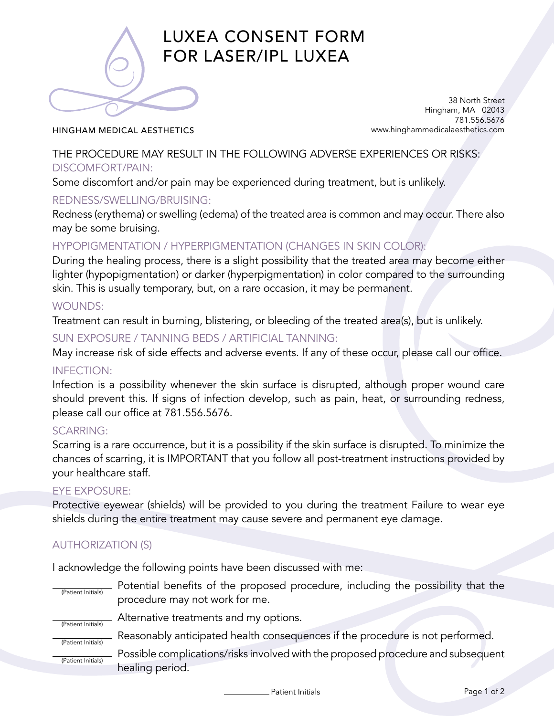

# LUXEA CONSENT FORM FOR LASER/IPL LUXEA

#### HINGHAM MEDICAL AESTHETICS

38 North Street Hingham, MA 02043 781.556.5676 www.hinghammedicalaesthetics.com

THE PROCEDURE MAY RESULT IN THE FOLLOWING ADVERSE EXPERIENCES OR RISKS: DISCOMFORT/PAIN:

Some discomfort and/or pain may be experienced during treatment, but is unlikely.

#### REDNESS/SWELLING/BRUISING:

Redness (erythema) or swelling (edema) of the treated area is common and may occur. There also may be some bruising.

# HYPOPIGMENTATION / HYPERPIGMENTATION (CHANGES IN SKIN COLOR):

During the healing process, there is a slight possibility that the treated area may become either lighter (hypopigmentation) or darker (hyperpigmentation) in color compared to the surrounding skin. This is usually temporary, but, on a rare occasion, it may be permanent.

#### WOUNDS:

Treatment can result in burning, blistering, or bleeding of the treated area(s), but is unlikely.

### SUN EXPOSURE / TANNING BEDS / ARTIFICIAL TANNING:

May increase risk of side effects and adverse events. If any of these occur, please call our office.

#### INFECTION:

Infection is a possibility whenever the skin surface is disrupted, although proper wound care should prevent this. If signs of infection develop, such as pain, heat, or surrounding redness, please call our office at 781.556.5676.

#### SCARRING:

Scarring is a rare occurrence, but it is a possibility if the skin surface is disrupted. To minimize the chances of scarring, it is IMPORTANT that you follow all post-treatment instructions provided by your healthcare staff.

#### EYE EXPOSURE:

Protective eyewear (shields) will be provided to you during the treatment Failure to wear eye shields during the entire treatment may cause severe and permanent eye damage.

# AUTHORIZATION (S)

I acknowledge the following points have been discussed with me:

| (Patient Initials) | Potential benefits of the proposed procedure, including the possibility that the<br>procedure may not work for me. |  |  |
|--------------------|--------------------------------------------------------------------------------------------------------------------|--|--|
| (Patient Initials) | Alternative treatments and my options.                                                                             |  |  |
| (Patient Initials) | Reasonably anticipated health consequences if the procedure is not performed.                                      |  |  |
| (Patient Initials) | Possible complications/risks involved with the proposed procedure and subsequent                                   |  |  |
|                    | healing period.                                                                                                    |  |  |